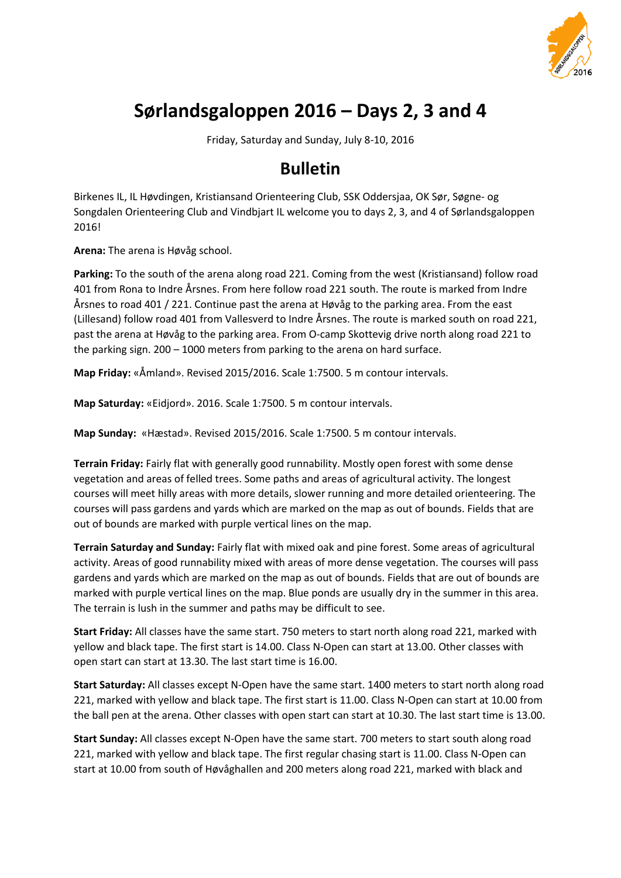

# **Sørlandsgaloppen 2016 – Days 2, 3 and 4**

Friday, Saturday and Sunday, July 8-10, 2016

# **Bulletin**

Birkenes IL, IL Høvdingen, Kristiansand Orienteering Club, SSK Oddersjaa, OK Sør, Søgne- og Songdalen Orienteering Club and Vindbjart IL welcome you to days 2, 3, and 4 of Sørlandsgaloppen 2016!

**Arena:** The arena is Høvåg school.

**Parking:** To the south of the arena along road 221. Coming from the west (Kristiansand) follow road 401 from Rona to Indre Årsnes. From here follow road 221 south. The route is marked from Indre Årsnes to road 401 / 221. Continue past the arena at Høvåg to the parking area. From the east (Lillesand) follow road 401 from Vallesverd to Indre Årsnes. The route is marked south on road 221, past the arena at Høvåg to the parking area. From O-camp Skottevig drive north along road 221 to the parking sign. 200 – 1000 meters from parking to the arena on hard surface.

**Map Friday:** «Åmland». Revised 2015/2016. Scale 1:7500. 5 m contour intervals.

**Map Saturday:** «Eidjord». 2016. Scale 1:7500. 5 m contour intervals.

**Map Sunday:** «Hæstad». Revised 2015/2016. Scale 1:7500. 5 m contour intervals.

**Terrain Friday:** Fairly flat with generally good runnability. Mostly open forest with some dense vegetation and areas of felled trees. Some paths and areas of agricultural activity. The longest courses will meet hilly areas with more details, slower running and more detailed orienteering. The courses will pass gardens and yards which are marked on the map as out of bounds. Fields that are out of bounds are marked with purple vertical lines on the map.

**Terrain Saturday and Sunday:** Fairly flat with mixed oak and pine forest. Some areas of agricultural activity. Areas of good runnability mixed with areas of more dense vegetation. The courses will pass gardens and yards which are marked on the map as out of bounds. Fields that are out of bounds are marked with purple vertical lines on the map. Blue ponds are usually dry in the summer in this area. The terrain is lush in the summer and paths may be difficult to see.

**Start Friday:** All classes have the same start. 750 meters to start north along road 221, marked with yellow and black tape. The first start is 14.00. Class N-Open can start at 13.00. Other classes with open start can start at 13.30. The last start time is 16.00.

**Start Saturday:** All classes except N-Open have the same start. 1400 meters to start north along road 221, marked with yellow and black tape. The first start is 11.00. Class N-Open can start at 10.00 from the ball pen at the arena. Other classes with open start can start at 10.30. The last start time is 13.00.

**Start Sunday:** All classes except N-Open have the same start. 700 meters to start south along road 221, marked with yellow and black tape. The first regular chasing start is 11.00. Class N-Open can start at 10.00 from south of Høvåghallen and 200 meters along road 221, marked with black and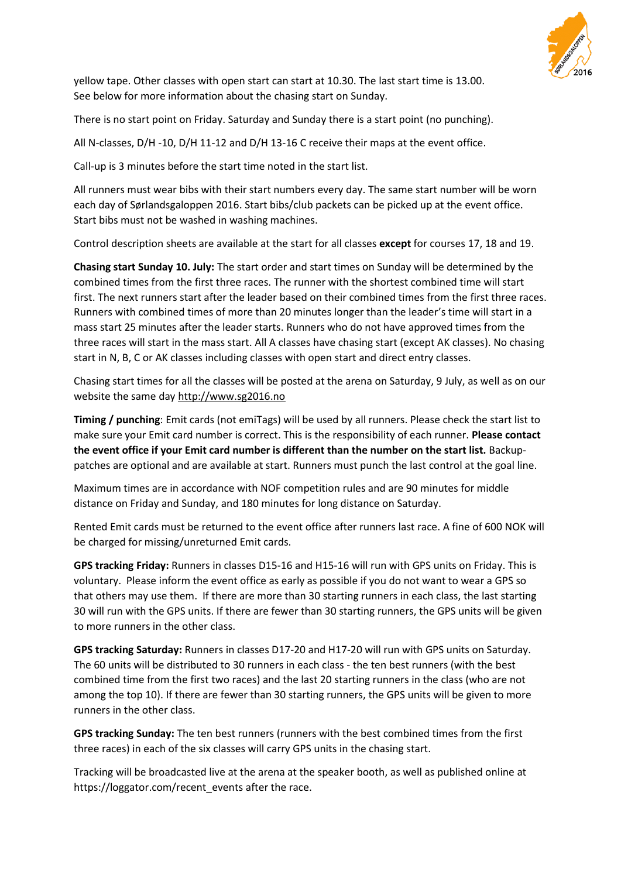

yellow tape. Other classes with open start can start at 10.30. The last start time is 13.00. See below for more information about the chasing start on Sunday.

There is no start point on Friday. Saturday and Sunday there is a start point (no punching).

All N-classes, D/H -10, D/H 11-12 and D/H 13-16 C receive their maps at the event office.

Call-up is 3 minutes before the start time noted in the start list.

All runners must wear bibs with their start numbers every day. The same start number will be worn each day of Sørlandsgaloppen 2016. Start bibs/club packets can be picked up at the event office. Start bibs must not be washed in washing machines.

Control description sheets are available at the start for all classes **except** for courses 17, 18 and 19.

**Chasing start Sunday 10. July:** The start order and start times on Sunday will be determined by the combined times from the first three races. The runner with the shortest combined time will start first. The next runners start after the leader based on their combined times from the first three races. Runners with combined times of more than 20 minutes longer than the leader's time will start in a mass start 25 minutes after the leader starts. Runners who do not have approved times from the three races will start in the mass start. All A classes have chasing start (except AK classes). No chasing start in N, B, C or AK classes including classes with open start and direct entry classes.

Chasing start times for all the classes will be posted at the arena on Saturday, 9 July, as well as on our website the same da[y http://www.sg2016.no](http://www.sg2016.no/)

**Timing / punching**: Emit cards (not emiTags) will be used by all runners. Please check the start list to make sure your Emit card number is correct. This is the responsibility of each runner. **Please contact the event office if your Emit card number is different than the number on the start list.** Backuppatches are optional and are available at start. Runners must punch the last control at the goal line.

Maximum times are in accordance with NOF competition rules and are 90 minutes for middle distance on Friday and Sunday, and 180 minutes for long distance on Saturday.

Rented Emit cards must be returned to the event office after runners last race. A fine of 600 NOK will be charged for missing/unreturned Emit cards.

**GPS tracking Friday:** Runners in classes D15-16 and H15-16 will run with GPS units on Friday. This is voluntary. Please inform the event office as early as possible if you do not want to wear a GPS so that others may use them. If there are more than 30 starting runners in each class, the last starting 30 will run with the GPS units. If there are fewer than 30 starting runners, the GPS units will be given to more runners in the other class.

**GPS tracking Saturday:** Runners in classes D17-20 and H17-20 will run with GPS units on Saturday. The 60 units will be distributed to 30 runners in each class - the ten best runners (with the best combined time from the first two races) and the last 20 starting runners in the class (who are not among the top 10). If there are fewer than 30 starting runners, the GPS units will be given to more runners in the other class.

**GPS tracking Sunday:** The ten best runners (runners with the best combined times from the first three races) in each of the six classes will carry GPS units in the chasing start.

Tracking will be broadcasted live at the arena at the speaker booth, as well as published online at https://loggator.com/recent\_events after the race.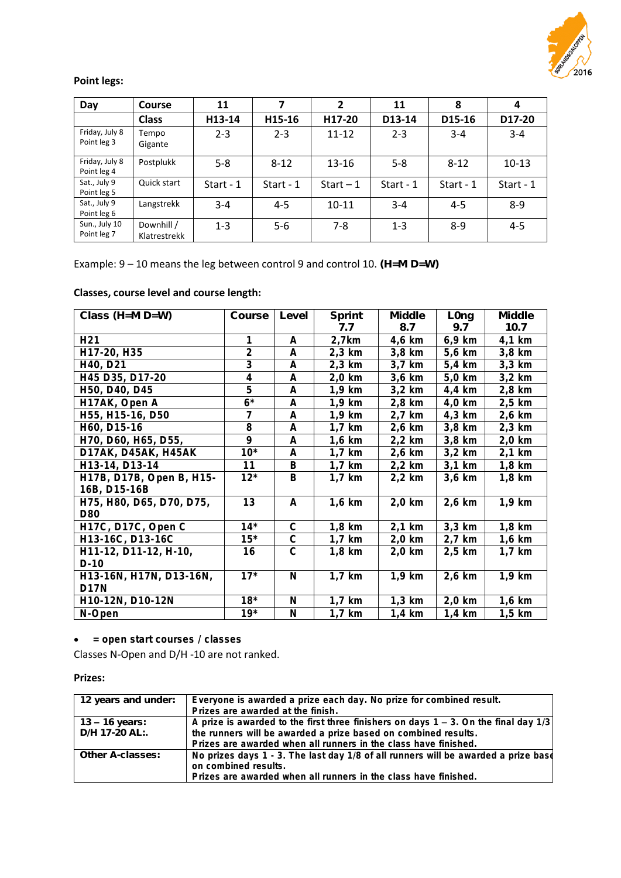

#### **Point legs:**

| Day                           | <b>Course</b>              | 11          |             | $\overline{2}$ | 11          | 8           | 4           |
|-------------------------------|----------------------------|-------------|-------------|----------------|-------------|-------------|-------------|
|                               | <b>Class</b>               | H13-14      | H15-16      | H17-20         | D13-14      | D15-16      | D17-20      |
| Friday, July 8<br>Point leg 3 | Tempo<br>Gigante           | $2 - 3$     | $2 - 3$     | $11 - 12$      | $2 - 3$     | $3 - 4$     | $3 - 4$     |
| Friday, July 8<br>Point leg 4 | Postplukk                  | $5 - 8$     | $8 - 12$    | $13 - 16$      | $5 - 8$     | $8 - 12$    | $10 - 13$   |
| Sat., July 9<br>Point leg 5   | Quick start                | Start - $1$ | Start - $1$ | Start $-1$     | Start - $1$ | Start - $1$ | Start - $1$ |
| Sat., July 9<br>Point leg 6   | Langstrekk                 | $3 - 4$     | $4 - 5$     | $10 - 11$      | $3 - 4$     | $4 - 5$     | $8 - 9$     |
| Sun., July 10<br>Point leg 7  | Downhill /<br>Klatrestrekk | $1 - 3$     | $5-6$       | $7-8$          | $1 - 3$     | $8-9$       | $4 - 5$     |

Example:  $9-10$  means the leg between control 9 and control 10.  $(H=M D=W)$ 

### **Classes, course level and course length:**

| Class $(H=M D=W)$               | Course         | Level          | Sprint   | Middle   | $L$ Ong  | Middle   |
|---------------------------------|----------------|----------------|----------|----------|----------|----------|
|                                 |                |                | 7.7      | 8.7      | 9.7      | 10.7     |
| H21                             |                | А              | 2,7km    | 4,6 km   | 6,9 km   | 4,1 km   |
| H17-20, H35                     | $\overline{2}$ | A              | $2,3$ km | 3,8 km   | 5,6 km   | 3,8 km   |
| H40, D21                        | 3              | А              | $2,3$ km | 3,7 km   | 5,4 km   | $3,3$ km |
| H45 D35, D17-20                 | $\overline{4}$ | А              | $2,0$ km | 3,6 km   | 5,0 km   | $3,2$ km |
| H50, D40, D45                   | 5              | А              | 1,9 km   | $3,2$ km | 4,4 km   | 2,8 km   |
| H17AK, Open A                   | $6*$           | А              | $1,9$ km | 2,8 km   | 4,0 km   | $2,5$ km |
| H55, H15-16, D50                | 7              | A              | 1,9 km   | 2,7 km   | 4,3 km   | 2,6 km   |
| H60, D15-16                     | 8              | A              | $1,7$ km | $2,6$ km | 3,8 km   | $2,3$ km |
| H70, D60, H65, D55,             | 9              | A              | 1,6 km   | $2,2$ km | 3,8 km   | 2,0 km   |
| D17AK, D45AK, H45AK             | $10*$          | A              | $1,7$ km | 2,6 km   | $3,2$ km | $2,1$ km |
| H13-14, D13-14                  | 11             | B              | $1,7$ km | $2,2$ km | $3,1$ km | 1,8 km   |
| H17B, D17B, Open B, H15-        | $12*$          | B              | $1,7$ km | $2,2$ km | 3,6 km   | $1,8$ km |
| 16B, D15-16B                    |                |                |          |          |          |          |
| H75, H80, D65, D70, D75,<br>D80 | 13             | A              | $1,6$ km | $2,0$ km | 2,6 km   | $1,9$ km |
| H17C, D17C, Open C              | $14*$          | $\mathsf{C}$   | $1,8$ km | $2,1$ km | $3,3$ km | $1,8$ km |
| H13-16C, D13-16C                | $15*$          | $\overline{C}$ | $1,7$ km | $2,0$ km | 2,7 km   | $1,6$ km |
| H11-12, D11-12, H-10,           | 16             | $\mathcal{C}$  | $1,8$ km | $2,0$ km | $2,5$ km | $1,7$ km |
| $D-10$                          |                |                |          |          |          |          |
| H13-16N, H17N, D13-16N,         | $17*$          | N              | $1,7$ km | $1,9$ km | 2,6 km   | $1,9$ km |
| D17N                            |                |                |          |          |          |          |
| H10-12N, D10-12N                | $18*$          | $\mathsf{N}$   | $1,7$ km | $1,3$ km | $2,0$ km | $1,6$ km |
| N-Open                          | $19*$          | $\mathsf{N}$   | 1,7 km   | 1,4 km   | $1,4$ km | $1,5$ km |

**= open start courses / classes**

Classes N-Open and D/H -10 are not ranked.

### **Prizes:**

| 12 years and under:              | Everyone is awarded a prize each day. No prize for combined result.<br>Prizes are awarded at the finish.                                                                                                                      |
|----------------------------------|-------------------------------------------------------------------------------------------------------------------------------------------------------------------------------------------------------------------------------|
| 13 – 16 years:<br>D/H 17-20 AL:. | A prize is awarded to the first three finishers on days $1 - 3$ . On the final day $1/3$<br>the runners will be awarded a prize based on combined results.<br>Prizes are awarded when all runners in the class have finished. |
| Other A-classes:                 | No prizes days 1 - 3. The last day 1/8 of all runners will be awarded a prize base<br>on combined results.<br>Prizes are awarded when all runners in the class have finished.                                                 |